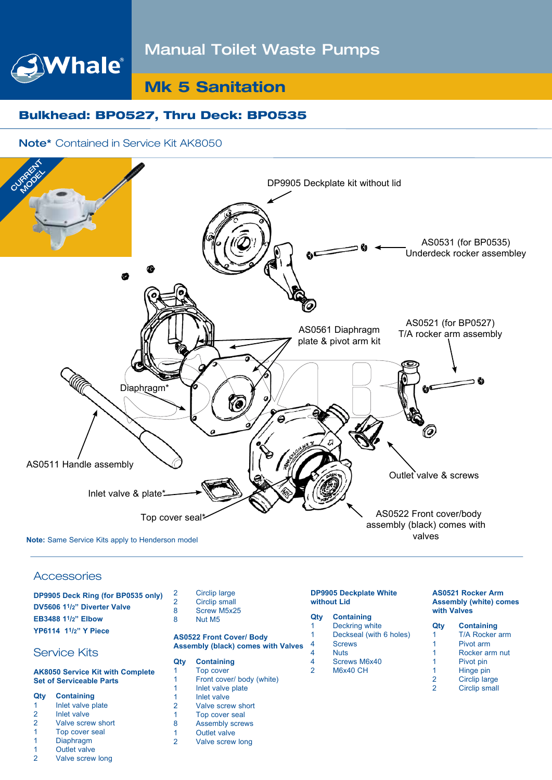# Manual Toilet Waste Pumps

# **Mk 5 Sanitation**

# Bulkhead: BP0527, Thru Deck: BP0535

### Note\* Contained in Service Kit AK8050

Whale®



#### **Accessories**

| DP9905 Deck Ring (for BP0535 only)                    |  |
|-------------------------------------------------------|--|
| DV5606 1 <sup>1</sup> / <sub>2</sub> " Diverter Valve |  |
| EB3488 11/2" Elbow                                    |  |
| YP6114 11/2" Y Piece                                  |  |

## Service Kits

#### **AK8050 Service Kit with Complete Set of Serviceable Parts**

#### **Qty Containing**

- 1 Inlet valve plate
- 2 Inlet valve<br>2 Valve scre Valve screw short
- 1 Top cover seal
- 
- 1 Diaphragm
- 1 Outlet valve
- 2 Valve screw long
- 2 Circlip large<br>2 Circlip small Circlip small
- 8 Screw M5x25<br>8 Nut M5 Nut M<sub>5</sub>

#### **AS0522 Front Cover/ Body Assembly (black) comes with Valves**

## **Qty Containing**

- **Top cover** 1 Front cover/ body (white)
- 1 Inlet valve plate<br>1 Inlet valve
- 1 Inlet valve<br>2 Valve scre
- 2 Valve screw short<br>1 Top cover seal
- 1 Top cover seal<br>8 Assembly screv
- **Assembly screws**
- 1 Outlet valve<br>2 Valve screw
- Valve screw long

#### **DP9905 Deckplate White without Lid**

## **Qty Containing**

- 1 Deckring white 1 Deckseal (with 6 holes) 4 Screws<br>4 Nuts
- 4 Nuts<br>4 Screy Screws M6x40
- 2 M6x40 CH

#### **AS0521 Rocker Arm Assembly (white) comes with Valves**

- **Qty Containing** 1 T/A Rocker arm 1 Pivot arm<br>1 Rocker arm 1 Rocker arm nut<br>1 Pivot pin Pivot pin
	- Circlip large
- 2 Circlip small
- - 1 Hinge pin<br>2 Circlip Jaro
		-